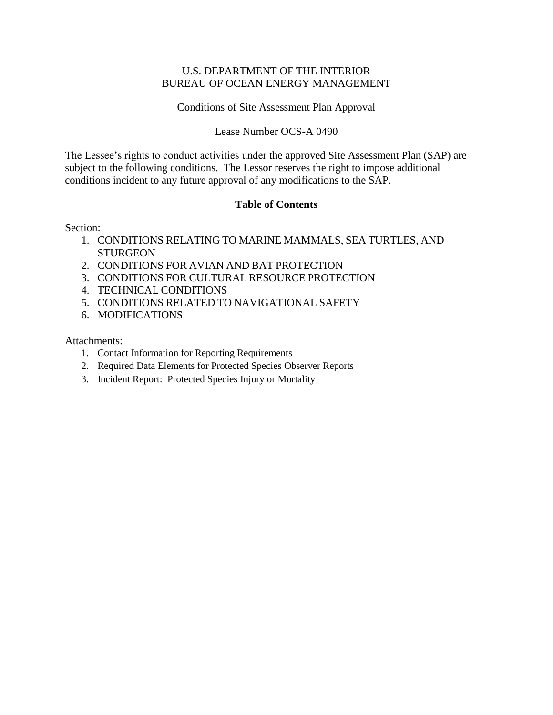#### U.S. DEPARTMENT OF THE INTERIOR BUREAU OF OCEAN ENERGY MANAGEMENT

#### Conditions of Site Assessment Plan Approval

#### Lease Number OCS-A 0490

The Lessee's rights to conduct activities under the approved Site Assessment Plan (SAP) are subject to the following conditions. The Lessor reserves the right to impose additional conditions incident to any future approval of any modifications to the SAP.

#### **Table of Contents**

Section:

- 1. CONDITIONS RELATING TO MARINE MAMMALS, SEA TURTLES, AND **STURGEON**
- 2. CONDITIONS FOR AVIAN AND BAT PROTECTION
- 3. CONDITIONS FOR CULTURAL RESOURCE PROTECTION
- 4. TECHNICAL CONDITIONS
- 5. CONDITIONS RELATED TO NAVIGATIONAL SAFETY
- 6. MODIFICATIONS

Attachments:

- 1. Contact Information for Reporting Requirements
- 2. Required Data Elements for Protected Species Observer Reports
- 3. Incident Report: Protected Species Injury or Mortality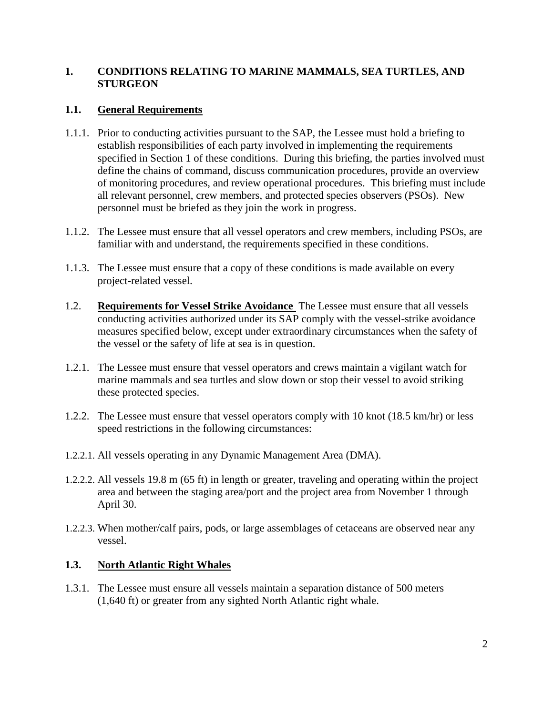### **1. CONDITIONS RELATING TO MARINE MAMMALS, SEA TURTLES, AND STURGEON**

### **1.1. General Requirements**

- 1.1.1. Prior to conducting activities pursuant to the SAP, the Lessee must hold a briefing to establish responsibilities of each party involved in implementing the requirements specified in Section 1 of these conditions. During this briefing, the parties involved must define the chains of command, discuss communication procedures, provide an overview of monitoring procedures, and review operational procedures. This briefing must include all relevant personnel, crew members, and protected species observers (PSOs). New personnel must be briefed as they join the work in progress.
- 1.1.2. The Lessee must ensure that all vessel operators and crew members, including PSOs, are familiar with and understand, the requirements specified in these conditions.
- 1.1.3. The Lessee must ensure that a copy of these conditions is made available on every project-related vessel.
- 1.2. **Requirements for Vessel Strike Avoidance** The Lessee must ensure that all vessels conducting activities authorized under its SAP comply with the vessel-strike avoidance measures specified below, except under extraordinary circumstances when the safety of the vessel or the safety of life at sea is in question.
- 1.2.1. The Lessee must ensure that vessel operators and crews maintain a vigilant watch for marine mammals and sea turtles and slow down or stop their vessel to avoid striking these protected species.
- 1.2.2. The Lessee must ensure that vessel operators comply with 10 knot (18.5 km/hr) or less speed restrictions in the following circumstances:
- 1.2.2.1. All vessels operating in any Dynamic Management Area (DMA).
- 1.2.2.2. All vessels 19.8 m (65 ft) in length or greater, traveling and operating within the project area and between the staging area/port and the project area from November 1 through April 30.
- 1.2.2.3. When mother/calf pairs, pods, or large assemblages of cetaceans are observed near any vessel.

#### **1.3. North Atlantic Right Whales**

1.3.1. The Lessee must ensure all vessels maintain a separation distance of 500 meters (1,640 ft) or greater from any sighted North Atlantic right whale.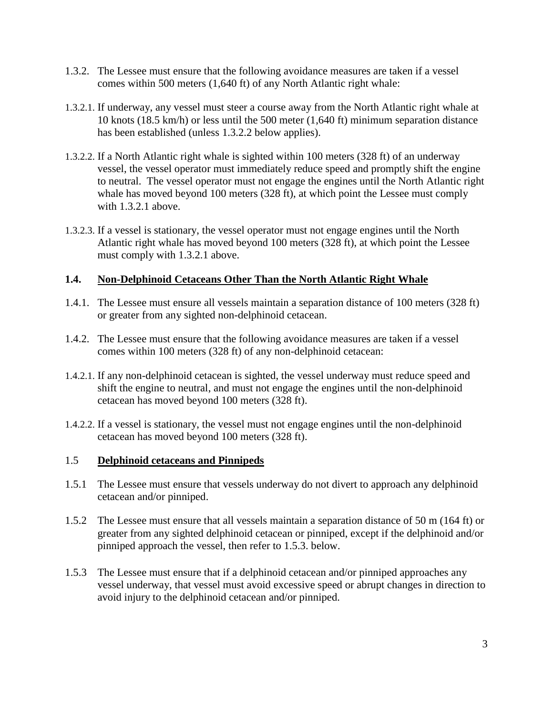- 1.3.2. The Lessee must ensure that the following avoidance measures are taken if a vessel comes within 500 meters (1,640 ft) of any North Atlantic right whale:
- 1.3.2.1. If underway, any vessel must steer a course away from the North Atlantic right whale at 10 knots (18.5 km/h) or less until the 500 meter (1,640 ft) minimum separation distance has been established (unless 1.3.2.2 below applies).
- 1.3.2.2. If a North Atlantic right whale is sighted within 100 meters (328 ft) of an underway vessel, the vessel operator must immediately reduce speed and promptly shift the engine to neutral. The vessel operator must not engage the engines until the North Atlantic right whale has moved beyond 100 meters (328 ft), at which point the Lessee must comply with 1.3.2.1 above.
- 1.3.2.3. If a vessel is stationary, the vessel operator must not engage engines until the North Atlantic right whale has moved beyond 100 meters (328 ft), at which point the Lessee must comply with 1.3.2.1 above.

### **1.4. Non-Delphinoid Cetaceans Other Than the North Atlantic Right Whale**

- 1.4.1. The Lessee must ensure all vessels maintain a separation distance of 100 meters (328 ft) or greater from any sighted non-delphinoid cetacean.
- 1.4.2. The Lessee must ensure that the following avoidance measures are taken if a vessel comes within 100 meters (328 ft) of any non-delphinoid cetacean:
- 1.4.2.1. If any non-delphinoid cetacean is sighted, the vessel underway must reduce speed and shift the engine to neutral, and must not engage the engines until the non-delphinoid cetacean has moved beyond 100 meters (328 ft).
- 1.4.2.2. If a vessel is stationary, the vessel must not engage engines until the non-delphinoid cetacean has moved beyond 100 meters (328 ft).

#### 1.5 **Delphinoid cetaceans and Pinnipeds**

- 1.5.1 The Lessee must ensure that vessels underway do not divert to approach any delphinoid cetacean and/or pinniped.
- 1.5.2 The Lessee must ensure that all vessels maintain a separation distance of 50 m (164 ft) or greater from any sighted delphinoid cetacean or pinniped, except if the delphinoid and/or pinniped approach the vessel, then refer to 1.5.3. below.
- 1.5.3 The Lessee must ensure that if a delphinoid cetacean and/or pinniped approaches any vessel underway, that vessel must avoid excessive speed or abrupt changes in direction to avoid injury to the delphinoid cetacean and/or pinniped.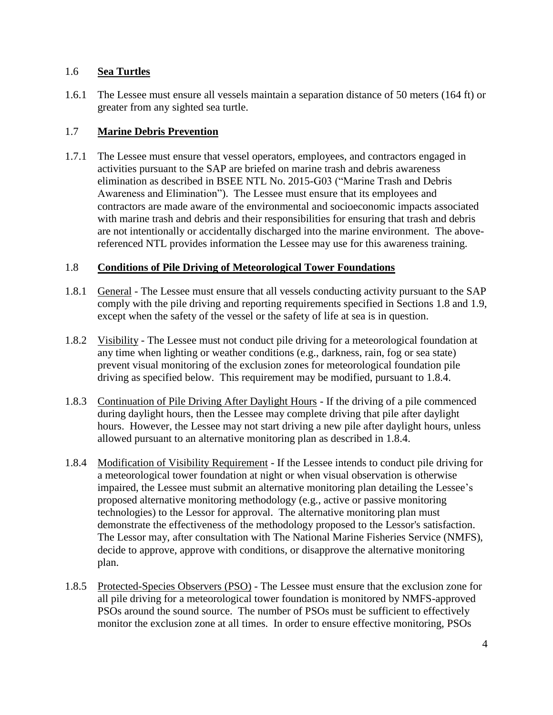### 1.6 **Sea Turtles**

1.6.1 The Lessee must ensure all vessels maintain a separation distance of 50 meters (164 ft) or greater from any sighted sea turtle.

## 1.7 **Marine Debris Prevention**

1.7.1 The Lessee must ensure that vessel operators, employees, and contractors engaged in activities pursuant to the SAP are briefed on marine trash and debris awareness elimination as described in BSEE NTL No. 2015-G03 ("Marine Trash and Debris Awareness and Elimination"). The Lessee must ensure that its employees and contractors are made aware of the environmental and socioeconomic impacts associated with marine trash and debris and their responsibilities for ensuring that trash and debris are not intentionally or accidentally discharged into the marine environment. The abovereferenced NTL provides information the Lessee may use for this awareness training.

### 1.8 **Conditions of Pile Driving of Meteorological Tower Foundations**

- 1.8.1 General The Lessee must ensure that all vessels conducting activity pursuant to the SAP comply with the pile driving and reporting requirements specified in Sections 1.8 and 1.9, except when the safety of the vessel or the safety of life at sea is in question.
- 1.8.2 Visibility The Lessee must not conduct pile driving for a meteorological foundation at any time when lighting or weather conditions (e.g., darkness, rain, fog or sea state) prevent visual monitoring of the exclusion zones for meteorological foundation pile driving as specified below. This requirement may be modified, pursuant to 1.8.4.
- 1.8.3 Continuation of Pile Driving After Daylight Hours If the driving of a pile commenced during daylight hours, then the Lessee may complete driving that pile after daylight hours. However, the Lessee may not start driving a new pile after daylight hours, unless allowed pursuant to an alternative monitoring plan as described in 1.8.4.
- 1.8.4 Modification of Visibility Requirement If the Lessee intends to conduct pile driving for a meteorological tower foundation at night or when visual observation is otherwise impaired, the Lessee must submit an alternative monitoring plan detailing the Lessee's proposed alternative monitoring methodology (e.g., active or passive monitoring technologies) to the Lessor for approval. The alternative monitoring plan must demonstrate the effectiveness of the methodology proposed to the Lessor's satisfaction. The Lessor may, after consultation with The National Marine Fisheries Service (NMFS), decide to approve, approve with conditions, or disapprove the alternative monitoring plan.
- 1.8.5 Protected-Species Observers (PSO) The Lessee must ensure that the exclusion zone for all pile driving for a meteorological tower foundation is monitored by NMFS-approved PSOs around the sound source. The number of PSOs must be sufficient to effectively monitor the exclusion zone at all times. In order to ensure effective monitoring, PSOs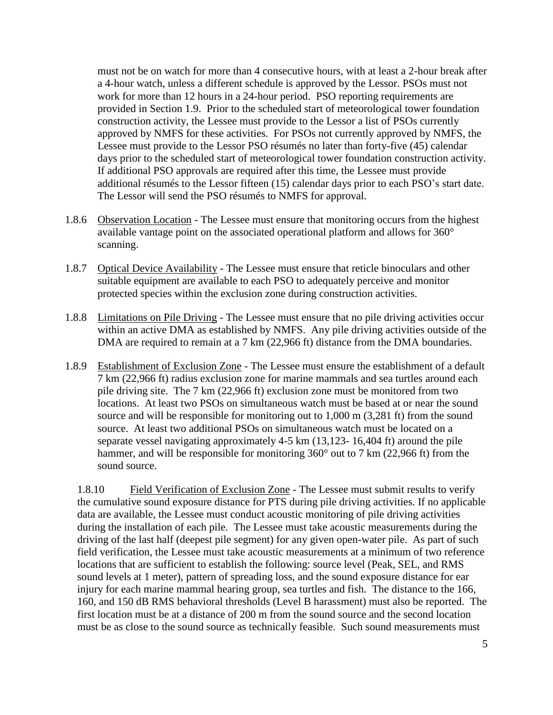must not be on watch for more than 4 consecutive hours, with at least a 2-hour break after a 4-hour watch, unless a different schedule is approved by the Lessor. PSOs must not work for more than 12 hours in a 24-hour period. PSO reporting requirements are provided in Section 1.9. Prior to the scheduled start of meteorological tower foundation construction activity, the Lessee must provide to the Lessor a list of PSOs currently approved by NMFS for these activities. For PSOs not currently approved by NMFS, the Lessee must provide to the Lessor PSO résumés no later than forty-five (45) calendar days prior to the scheduled start of meteorological tower foundation construction activity. If additional PSO approvals are required after this time, the Lessee must provide additional résumés to the Lessor fifteen (15) calendar days prior to each PSO's start date. The Lessor will send the PSO résumés to NMFS for approval.

- 1.8.6 Observation Location The Lessee must ensure that monitoring occurs from the highest available vantage point on the associated operational platform and allows for 360° scanning.
- 1.8.7 Optical Device Availability The Lessee must ensure that reticle binoculars and other suitable equipment are available to each PSO to adequately perceive and monitor protected species within the exclusion zone during construction activities.
- 1.8.8 Limitations on Pile Driving The Lessee must ensure that no pile driving activities occur within an active DMA as established by NMFS. Any pile driving activities outside of the DMA are required to remain at a 7 km (22,966 ft) distance from the DMA boundaries.
- 1.8.9 Establishment of Exclusion Zone The Lessee must ensure the establishment of a default 7 km (22,966 ft) radius exclusion zone for marine mammals and sea turtles around each pile driving site. The 7 km (22,966 ft) exclusion zone must be monitored from two locations. At least two PSOs on simultaneous watch must be based at or near the sound source and will be responsible for monitoring out to 1,000 m (3,281 ft) from the sound source. At least two additional PSOs on simultaneous watch must be located on a separate vessel navigating approximately 4-5 km (13,123- 16,404 ft) around the pile hammer, and will be responsible for monitoring 360° out to 7 km (22,966 ft) from the sound source.

1.8.10 Field Verification of Exclusion Zone - The Lessee must submit results to verify the cumulative sound exposure distance for PTS during pile driving activities. If no applicable data are available, the Lessee must conduct acoustic monitoring of pile driving activities during the installation of each pile. The Lessee must take acoustic measurements during the driving of the last half (deepest pile segment) for any given open-water pile. As part of such field verification, the Lessee must take acoustic measurements at a minimum of two reference locations that are sufficient to establish the following: source level (Peak, SEL, and RMS sound levels at 1 meter), pattern of spreading loss, and the sound exposure distance for ear injury for each marine mammal hearing group, sea turtles and fish. The distance to the 166, 160, and 150 dB RMS behavioral thresholds (Level B harassment) must also be reported. The first location must be at a distance of 200 m from the sound source and the second location must be as close to the sound source as technically feasible. Such sound measurements must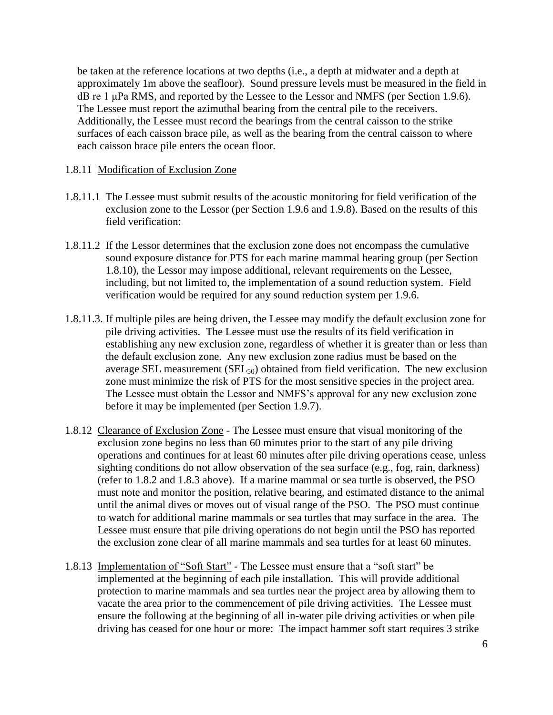be taken at the reference locations at two depths (i.e., a depth at midwater and a depth at approximately 1m above the seafloor). Sound pressure levels must be measured in the field in dB re 1 μPa RMS, and reported by the Lessee to the Lessor and NMFS (per Section 1.9.6). The Lessee must report the azimuthal bearing from the central pile to the receivers. Additionally, the Lessee must record the bearings from the central caisson to the strike surfaces of each caisson brace pile, as well as the bearing from the central caisson to where each caisson brace pile enters the ocean floor.

#### 1.8.11 Modification of Exclusion Zone

- 1.8.11.1 The Lessee must submit results of the acoustic monitoring for field verification of the exclusion zone to the Lessor (per Section 1.9.6 and 1.9.8). Based on the results of this field verification:
- 1.8.11.2 If the Lessor determines that the exclusion zone does not encompass the cumulative sound exposure distance for PTS for each marine mammal hearing group (per Section 1.8.10), the Lessor may impose additional, relevant requirements on the Lessee, including, but not limited to, the implementation of a sound reduction system. Field verification would be required for any sound reduction system per 1.9.6.
- 1.8.11.3. If multiple piles are being driven, the Lessee may modify the default exclusion zone for pile driving activities. The Lessee must use the results of its field verification in establishing any new exclusion zone, regardless of whether it is greater than or less than the default exclusion zone. Any new exclusion zone radius must be based on the average SEL measurement  $(SEL_{50})$  obtained from field verification. The new exclusion zone must minimize the risk of PTS for the most sensitive species in the project area. The Lessee must obtain the Lessor and NMFS's approval for any new exclusion zone before it may be implemented (per Section 1.9.7).
- 1.8.12 Clearance of Exclusion Zone The Lessee must ensure that visual monitoring of the exclusion zone begins no less than 60 minutes prior to the start of any pile driving operations and continues for at least 60 minutes after pile driving operations cease, unless sighting conditions do not allow observation of the sea surface (e.g., fog, rain, darkness) (refer to 1.8.2 and 1.8.3 above). If a marine mammal or sea turtle is observed, the PSO must note and monitor the position, relative bearing, and estimated distance to the animal until the animal dives or moves out of visual range of the PSO. The PSO must continue to watch for additional marine mammals or sea turtles that may surface in the area. The Lessee must ensure that pile driving operations do not begin until the PSO has reported the exclusion zone clear of all marine mammals and sea turtles for at least 60 minutes.
- 1.8.13 Implementation of "Soft Start" The Lessee must ensure that a "soft start" be implemented at the beginning of each pile installation. This will provide additional protection to marine mammals and sea turtles near the project area by allowing them to vacate the area prior to the commencement of pile driving activities. The Lessee must ensure the following at the beginning of all in-water pile driving activities or when pile driving has ceased for one hour or more: The impact hammer soft start requires 3 strike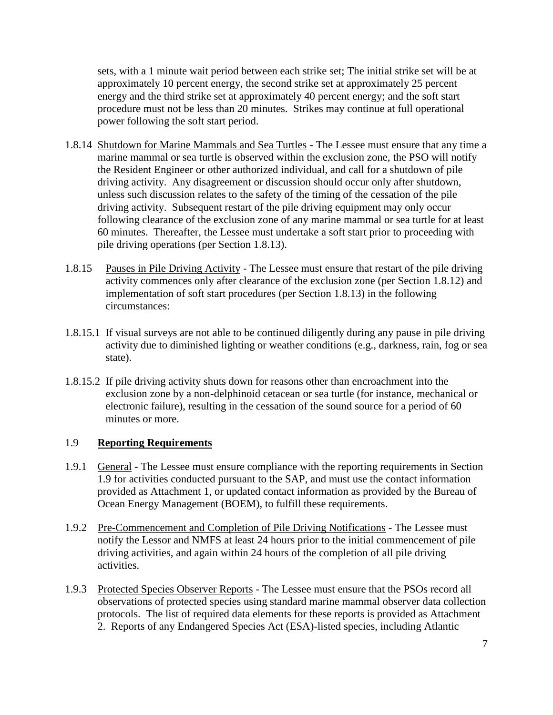sets, with a 1 minute wait period between each strike set; The initial strike set will be at approximately 10 percent energy, the second strike set at approximately 25 percent energy and the third strike set at approximately 40 percent energy; and the soft start procedure must not be less than 20 minutes. Strikes may continue at full operational power following the soft start period.

- 1.8.14 Shutdown for Marine Mammals and Sea Turtles The Lessee must ensure that any time a marine mammal or sea turtle is observed within the exclusion zone, the PSO will notify the Resident Engineer or other authorized individual, and call for a shutdown of pile driving activity. Any disagreement or discussion should occur only after shutdown, unless such discussion relates to the safety of the timing of the cessation of the pile driving activity. Subsequent restart of the pile driving equipment may only occur following clearance of the exclusion zone of any marine mammal or sea turtle for at least 60 minutes. Thereafter, the Lessee must undertake a soft start prior to proceeding with pile driving operations (per Section 1.8.13).
- 1.8.15 Pauses in Pile Driving Activity The Lessee must ensure that restart of the pile driving activity commences only after clearance of the exclusion zone (per Section 1.8.12) and implementation of soft start procedures (per Section 1.8.13) in the following circumstances:
- 1.8.15.1 If visual surveys are not able to be continued diligently during any pause in pile driving activity due to diminished lighting or weather conditions (e.g., darkness, rain, fog or sea state).
- 1.8.15.2 If pile driving activity shuts down for reasons other than encroachment into the exclusion zone by a non-delphinoid cetacean or sea turtle (for instance, mechanical or electronic failure), resulting in the cessation of the sound source for a period of 60 minutes or more.

### 1.9 **Reporting Requirements**

- 1.9.1 General The Lessee must ensure compliance with the reporting requirements in Section 1.9 for activities conducted pursuant to the SAP, and must use the contact information provided as Attachment 1, or updated contact information as provided by the Bureau of Ocean Energy Management (BOEM), to fulfill these requirements.
- 1.9.2 Pre-Commencement and Completion of Pile Driving Notifications The Lessee must notify the Lessor and NMFS at least 24 hours prior to the initial commencement of pile driving activities, and again within 24 hours of the completion of all pile driving activities.
- 1.9.3 Protected Species Observer Reports The Lessee must ensure that the PSOs record all observations of protected species using standard marine mammal observer data collection protocols. The list of required data elements for these reports is provided as Attachment 2. Reports of any Endangered Species Act (ESA)-listed species, including Atlantic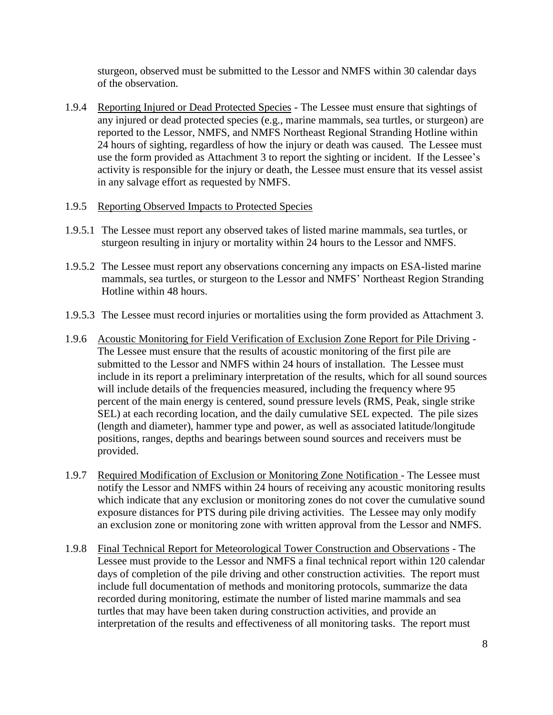sturgeon, observed must be submitted to the Lessor and NMFS within 30 calendar days of the observation.

- 1.9.4 Reporting Injured or Dead Protected Species The Lessee must ensure that sightings of any injured or dead protected species (e.g., marine mammals, sea turtles, or sturgeon) are reported to the Lessor, NMFS, and NMFS Northeast Regional Stranding Hotline within 24 hours of sighting, regardless of how the injury or death was caused. The Lessee must use the form provided as Attachment 3 to report the sighting or incident. If the Lessee's activity is responsible for the injury or death, the Lessee must ensure that its vessel assist in any salvage effort as requested by NMFS.
- 1.9.5 Reporting Observed Impacts to Protected Species
- 1.9.5.1 The Lessee must report any observed takes of listed marine mammals, sea turtles, or sturgeon resulting in injury or mortality within 24 hours to the Lessor and NMFS.
- 1.9.5.2 The Lessee must report any observations concerning any impacts on ESA-listed marine mammals, sea turtles, or sturgeon to the Lessor and NMFS' Northeast Region Stranding Hotline within 48 hours.
- 1.9.5.3 The Lessee must record injuries or mortalities using the form provided as Attachment 3.
- 1.9.6 Acoustic Monitoring for Field Verification of Exclusion Zone Report for Pile Driving The Lessee must ensure that the results of acoustic monitoring of the first pile are submitted to the Lessor and NMFS within 24 hours of installation. The Lessee must include in its report a preliminary interpretation of the results, which for all sound sources will include details of the frequencies measured, including the frequency where 95 percent of the main energy is centered, sound pressure levels (RMS, Peak, single strike SEL) at each recording location, and the daily cumulative SEL expected. The pile sizes (length and diameter), hammer type and power, as well as associated latitude/longitude positions, ranges, depths and bearings between sound sources and receivers must be provided.
- 1.9.7 Required Modification of Exclusion or Monitoring Zone Notification The Lessee must notify the Lessor and NMFS within 24 hours of receiving any acoustic monitoring results which indicate that any exclusion or monitoring zones do not cover the cumulative sound exposure distances for PTS during pile driving activities. The Lessee may only modify an exclusion zone or monitoring zone with written approval from the Lessor and NMFS.
- 1.9.8 Final Technical Report for Meteorological Tower Construction and Observations The Lessee must provide to the Lessor and NMFS a final technical report within 120 calendar days of completion of the pile driving and other construction activities. The report must include full documentation of methods and monitoring protocols, summarize the data recorded during monitoring, estimate the number of listed marine mammals and sea turtles that may have been taken during construction activities, and provide an interpretation of the results and effectiveness of all monitoring tasks. The report must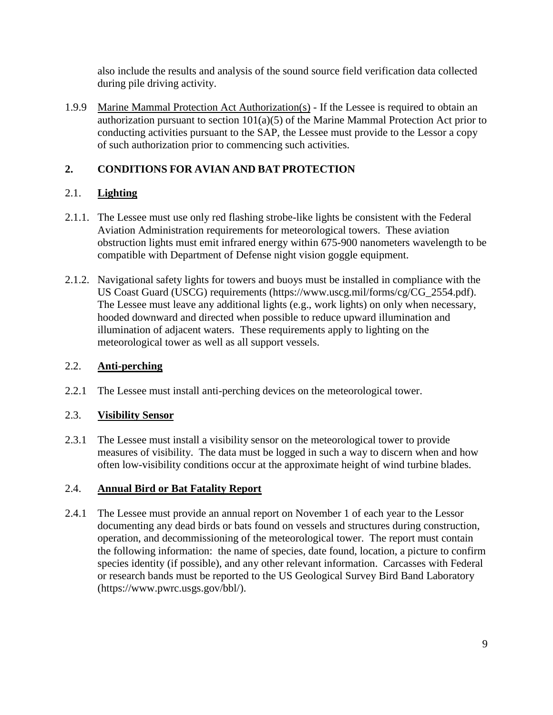also include the results and analysis of the sound source field verification data collected during pile driving activity.

1.9.9 Marine Mammal Protection Act Authorization(s) - If the Lessee is required to obtain an authorization pursuant to section  $101(a)(5)$  of the Marine Mammal Protection Act prior to conducting activities pursuant to the SAP, the Lessee must provide to the Lessor a copy of such authorization prior to commencing such activities.

# **2. CONDITIONS FOR AVIAN AND BAT PROTECTION**

# 2.1. **Lighting**

- 2.1.1. The Lessee must use only red flashing strobe-like lights be consistent with the Federal Aviation Administration requirements for meteorological towers. These aviation obstruction lights must emit infrared energy within 675-900 nanometers wavelength to be compatible with Department of Defense night vision goggle equipment.
- 2.1.2. Navigational safety lights for towers and buoys must be installed in compliance with the US Coast Guard (USCG) requirements [\(https://www.uscg.mil/forms/cg/CG\\_2554.pdf\)](https://www.uscg.mil/forms/cg/CG_2554.pdf). The Lessee must leave any additional lights (e.g., work lights) on only when necessary, hooded downward and directed when possible to reduce upward illumination and illumination of adjacent waters. These requirements apply to lighting on the meteorological tower as well as all support vessels.

# 2.2. **Anti-perching**

2.2.1 The Lessee must install anti-perching devices on the meteorological tower.

# 2.3. **Visibility Sensor**

2.3.1 The Lessee must install a visibility sensor on the meteorological tower to provide measures of visibility. The data must be logged in such a way to discern when and how often low-visibility conditions occur at the approximate height of wind turbine blades.

# 2.4. **Annual Bird or Bat Fatality Report**

2.4.1 The Lessee must provide an annual report on November 1 of each year to the Lessor documenting any dead birds or bats found on vessels and structures during construction, operation, and decommissioning of the meteorological tower. The report must contain the following information: the name of species, date found, location, a picture to confirm species identity (if possible), and any other relevant information. Carcasses with Federal or research bands must be reported to the US Geological Survey Bird Band Laboratory [\(https://www.pwrc.usgs.gov/bbl/\)](https://www.pwrc.usgs.gov/bbl/).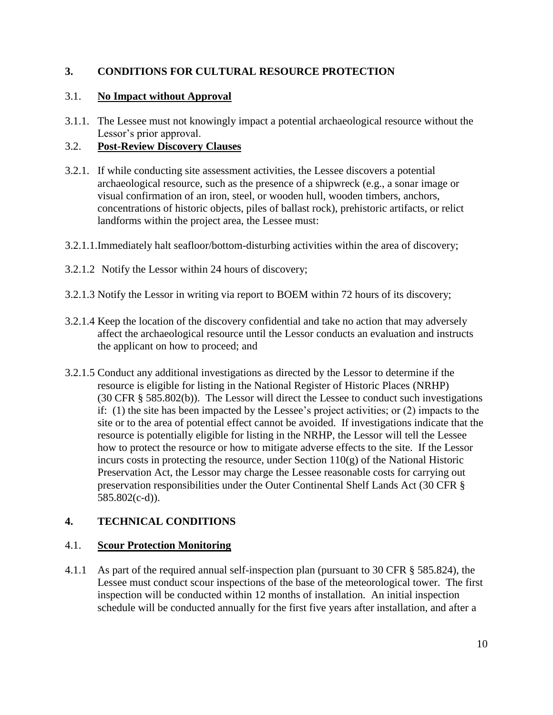## **3. CONDITIONS FOR CULTURAL RESOURCE PROTECTION**

## 3.1. **No Impact without Approval**

3.1.1. The Lessee must not knowingly impact a potential archaeological resource without the Lessor's prior approval.

## 3.2. **Post-Review Discovery Clauses**

- 3.2.1. If while conducting site assessment activities, the Lessee discovers a potential archaeological resource, such as the presence of a shipwreck (e.g., a sonar image or visual confirmation of an iron, steel, or wooden hull, wooden timbers, anchors, concentrations of historic objects, piles of ballast rock), prehistoric artifacts, or relict landforms within the project area, the Lessee must:
- 3.2.1.1.Immediately halt seafloor/bottom-disturbing activities within the area of discovery;
- 3.2.1.2 Notify the Lessor within 24 hours of discovery;
- 3.2.1.3 Notify the Lessor in writing via report to BOEM within 72 hours of its discovery;
- 3.2.1.4 Keep the location of the discovery confidential and take no action that may adversely affect the archaeological resource until the Lessor conducts an evaluation and instructs the applicant on how to proceed; and
- 3.2.1.5 Conduct any additional investigations as directed by the Lessor to determine if the resource is eligible for listing in the National Register of Historic Places (NRHP) (30 CFR § 585.802(b)). The Lessor will direct the Lessee to conduct such investigations if: (1) the site has been impacted by the Lessee's project activities; or (2) impacts to the site or to the area of potential effect cannot be avoided. If investigations indicate that the resource is potentially eligible for listing in the NRHP, the Lessor will tell the Lessee how to protect the resource or how to mitigate adverse effects to the site. If the Lessor incurs costs in protecting the resource, under Section  $110(g)$  of the National Historic Preservation Act, the Lessor may charge the Lessee reasonable costs for carrying out preservation responsibilities under the Outer Continental Shelf Lands Act (30 CFR § 585.802(c-d)).

## **4. TECHNICAL CONDITIONS**

### 4.1. **Scour Protection Monitoring**

4.1.1 As part of the required annual self-inspection plan (pursuant to 30 CFR § 585.824), the Lessee must conduct scour inspections of the base of the meteorological tower. The first inspection will be conducted within 12 months of installation. An initial inspection schedule will be conducted annually for the first five years after installation, and after a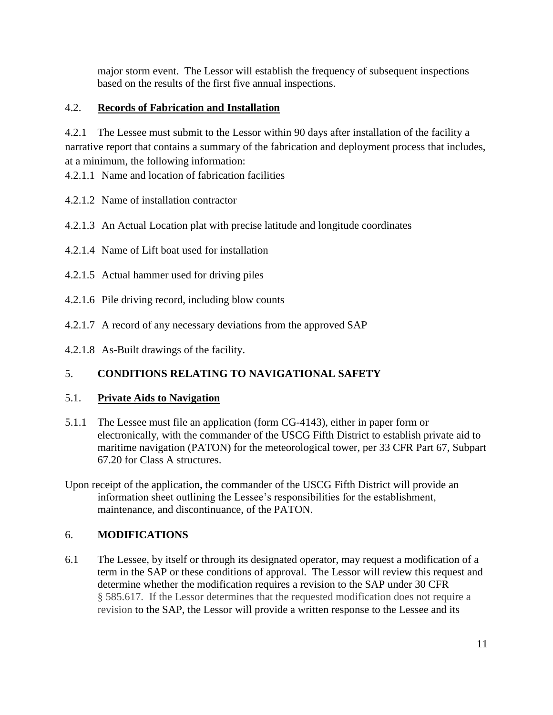major storm event. The Lessor will establish the frequency of subsequent inspections based on the results of the first five annual inspections.

## 4.2. **Records of Fabrication and Installation**

4.2.1 The Lessee must submit to the Lessor within 90 days after installation of the facility a narrative report that contains a summary of the fabrication and deployment process that includes, at a minimum, the following information:

- 4.2.1.1 Name and location of fabrication facilities
- 4.2.1.2 Name of installation contractor
- 4.2.1.3 An Actual Location plat with precise latitude and longitude coordinates
- 4.2.1.4 Name of Lift boat used for installation
- 4.2.1.5 Actual hammer used for driving piles
- 4.2.1.6 Pile driving record, including blow counts
- 4.2.1.7 A record of any necessary deviations from the approved SAP
- 4.2.1.8 As-Built drawings of the facility.

# 5. **CONDITIONS RELATING TO NAVIGATIONAL SAFETY**

### 5.1. **Private Aids to Navigation**

- 5.1.1 The Lessee must file an application (form CG-4143), either in paper form or electronically, with the commander of the USCG Fifth District to establish private aid to maritime navigation (PATON) for the meteorological tower, per 33 CFR Part 67, Subpart 67.20 for Class A structures.
- Upon receipt of the application, the commander of the USCG Fifth District will provide an information sheet outlining the Lessee's responsibilities for the establishment, maintenance, and discontinuance, of the PATON.

## 6. **MODIFICATIONS**

6.1 The Lessee, by itself or through its designated operator, may request a modification of a term in the SAP or these conditions of approval. The Lessor will review this request and determine whether the modification requires a revision to the SAP under 30 CFR § 585.617. If the Lessor determines that the requested modification does not require a revision to the SAP, the Lessor will provide a written response to the Lessee and its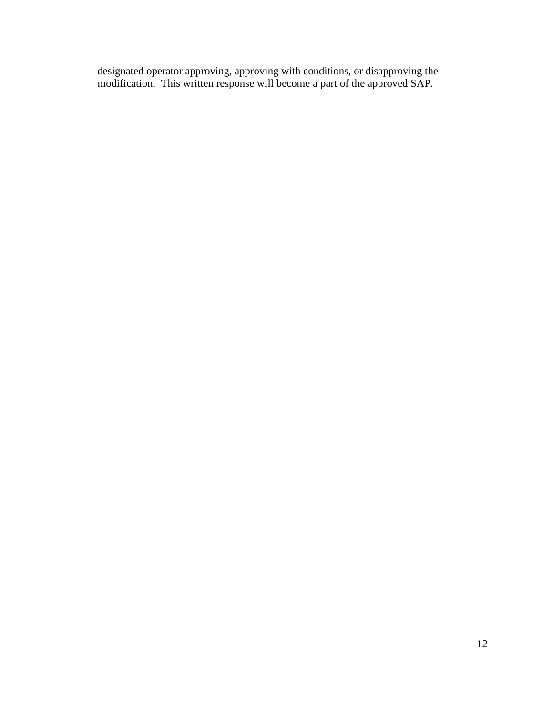designated operator approving, approving with conditions, or disapproving the modification. This written response will become a part of the approved SAP.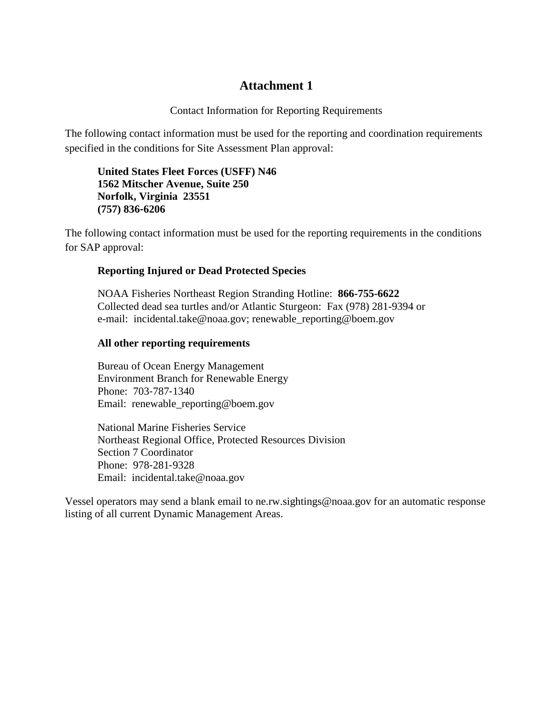## **Attachment 1**

Contact Information for Reporting Requirements

The following contact information must be used for the reporting and coordination requirements specified in the conditions for Site Assessment Plan approval:

**United States Fleet Forces (USFF) N46 1562 Mitscher Avenue, Suite 250 Norfolk, Virginia 23551 (757) 836‐6206**

The following contact information must be used for the reporting requirements in the conditions for SAP approval:

### **Reporting Injured or Dead Protected Species**

NOAA Fisheries Northeast Region Stranding Hotline: **866-755-6622** Collected dead sea turtles and/or Atlantic Sturgeon: Fax (978) 281-9394 or e-mail: incidental.take@noaa.gov; renewable\_reporting@boem.gov

#### **All other reporting requirements**

Bureau of Ocean Energy Management Environment Branch for Renewable Energy Phone: 703‐787‐1340 Email: renewable\_reporting@boem.gov

National Marine Fisheries Service Northeast Regional Office, Protected Resources Division Section 7 Coordinator Phone: 978‐281‐9328 Email: incidental.take@noaa.gov

Vessel operators may send a blank email to ne.rw.sightings@noaa.gov for an automatic response listing of all current Dynamic Management Areas.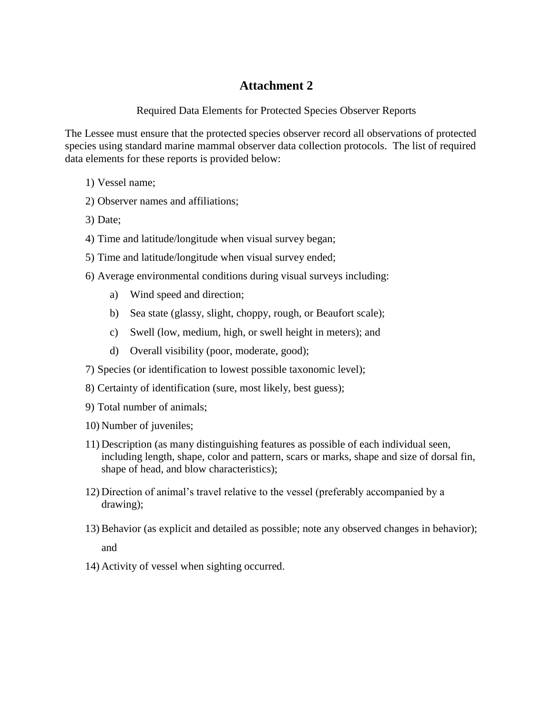# **Attachment 2**

Required Data Elements for Protected Species Observer Reports

The Lessee must ensure that the protected species observer record all observations of protected species using standard marine mammal observer data collection protocols. The list of required data elements for these reports is provided below:

- 1) Vessel name;
- 2) Observer names and affiliations;
- 3) Date;
- 4) Time and latitude/longitude when visual survey began;
- 5) Time and latitude/longitude when visual survey ended;
- 6) Average environmental conditions during visual surveys including:
	- a) Wind speed and direction;
	- b) Sea state (glassy, slight, choppy, rough, or Beaufort scale);
	- c) Swell (low, medium, high, or swell height in meters); and
	- d) Overall visibility (poor, moderate, good);
- 7) Species (or identification to lowest possible taxonomic level);
- 8) Certainty of identification (sure, most likely, best guess);
- 9) Total number of animals;
- 10) Number of juveniles;
- 11) Description (as many distinguishing features as possible of each individual seen, including length, shape, color and pattern, scars or marks, shape and size of dorsal fin, shape of head, and blow characteristics);
- 12) Direction of animal's travel relative to the vessel (preferably accompanied by a drawing);
- 13)Behavior (as explicit and detailed as possible; note any observed changes in behavior); and
- 14) Activity of vessel when sighting occurred.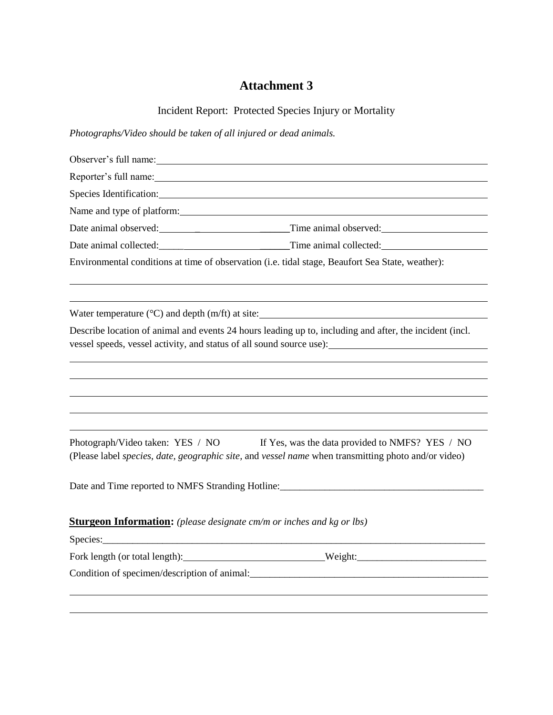# **Attachment 3**

Incident Report: Protected Species Injury or Mortality

*Photographs/Video should be taken of all injured or dead animals.*

| Observer's full name: 1000 million and 1000 million and 1000 million and 1000 million and 1000 million and 100 |                                                                                                                                                                                 |
|----------------------------------------------------------------------------------------------------------------|---------------------------------------------------------------------------------------------------------------------------------------------------------------------------------|
|                                                                                                                |                                                                                                                                                                                 |
|                                                                                                                | Species Identification: Species Identification:                                                                                                                                 |
|                                                                                                                | Name and type of platform: Name and type of platform:                                                                                                                           |
|                                                                                                                |                                                                                                                                                                                 |
|                                                                                                                | Date animal collected: Time animal collected:                                                                                                                                   |
|                                                                                                                | Environmental conditions at time of observation (i.e. tidal stage, Beaufort Sea State, weather):                                                                                |
|                                                                                                                | Water temperature $(^{\circ}C)$ and depth $(m/ft)$ at site:                                                                                                                     |
|                                                                                                                | Describe location of animal and events 24 hours leading up to, including and after, the incident (incl.<br>vessel speeds, vessel activity, and status of all sound source use): |
|                                                                                                                |                                                                                                                                                                                 |
| Photograph/Video taken: YES / NO                                                                               | If Yes, was the data provided to NMFS? YES / NO<br>(Please label species, date, geographic site, and vessel name when transmitting photo and/or video)                          |
|                                                                                                                |                                                                                                                                                                                 |
| <b>Sturgeon Information:</b> (please designate cm/m or inches and kg or lbs)                                   |                                                                                                                                                                                 |
|                                                                                                                | Fork length (or total length): Weight: Weight:                                                                                                                                  |
|                                                                                                                | Condition of specimen/description of animal:<br><u>Condition of specimen/description of animal:</u>                                                                             |
|                                                                                                                |                                                                                                                                                                                 |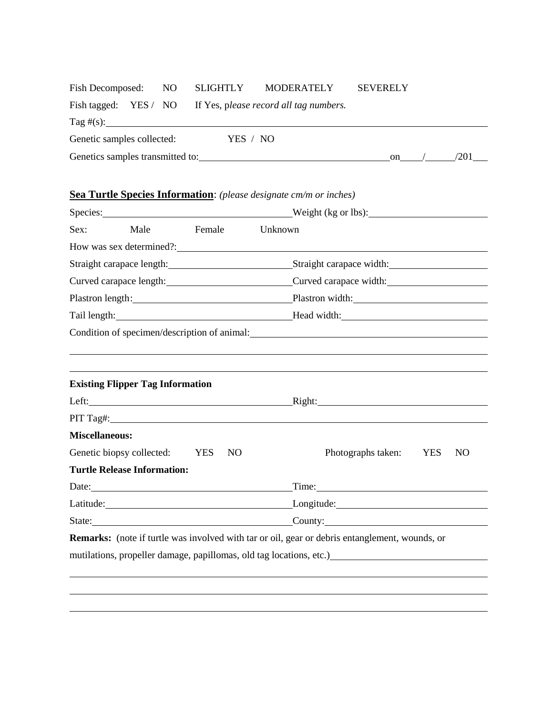| Fish Decomposed: NO SLIGHTLY MODERATELY |                                                              |  | <b>SEVERELY</b> |  |      |  |
|-----------------------------------------|--------------------------------------------------------------|--|-----------------|--|------|--|
|                                         | Fish tagged: YES / NO If Yes, please record all tag numbers. |  |                 |  |      |  |
|                                         |                                                              |  |                 |  |      |  |
| Genetic samples collected:              | YES / NO                                                     |  |                 |  |      |  |
| Genetics samples transmitted to:        |                                                              |  | on              |  | /201 |  |

# **Sea Turtle Species Information**: *(please designate cm/m or inches)*

| Species: 2000 and 2000 and 2000 and 2000 and 2000 and 2000 and 2000 and 2000 and 2000 and 2000 and 2000 and 2000 and 2000 and 2000 and 2000 and 2000 and 2000 and 2000 and 2000 and 2000 and 2000 and 2000 and 2000 and 2000 a |                                         |        |     | Weight (kg or lbs):                                                                                                                                                                                                                  |
|--------------------------------------------------------------------------------------------------------------------------------------------------------------------------------------------------------------------------------|-----------------------------------------|--------|-----|--------------------------------------------------------------------------------------------------------------------------------------------------------------------------------------------------------------------------------------|
| Sex:                                                                                                                                                                                                                           | Male                                    | Female |     | Unknown                                                                                                                                                                                                                              |
|                                                                                                                                                                                                                                |                                         |        |     |                                                                                                                                                                                                                                      |
|                                                                                                                                                                                                                                |                                         |        |     | Straight carapace length: Straight carapace width: Straight carapace width:                                                                                                                                                          |
|                                                                                                                                                                                                                                |                                         |        |     | Curved carapace length: Curved carapace width: Curved carapace width:                                                                                                                                                                |
|                                                                                                                                                                                                                                |                                         |        |     | Plastron length: Plastron width: Plastron width:                                                                                                                                                                                     |
|                                                                                                                                                                                                                                |                                         |        |     | Tail length: <u>contract and contract and contract and contract and contract and contract and contract and contract and contract and contract and contract and contract and contract and contract and contract and contract and </u> |
|                                                                                                                                                                                                                                |                                         |        |     | Condition of specimen/description of animal:                                                                                                                                                                                         |
|                                                                                                                                                                                                                                |                                         |        |     |                                                                                                                                                                                                                                      |
|                                                                                                                                                                                                                                | <b>Existing Flipper Tag Information</b> |        |     |                                                                                                                                                                                                                                      |
|                                                                                                                                                                                                                                |                                         |        |     | Right: Right:                                                                                                                                                                                                                        |
|                                                                                                                                                                                                                                |                                         |        |     |                                                                                                                                                                                                                                      |
| <b>Miscellaneous:</b>                                                                                                                                                                                                          |                                         |        |     |                                                                                                                                                                                                                                      |
|                                                                                                                                                                                                                                | Genetic biopsy collected: YES           |        | NO. | Photographs taken:<br><b>YES</b><br>N <sub>O</sub>                                                                                                                                                                                   |
|                                                                                                                                                                                                                                | <b>Turtle Release Information:</b>      |        |     |                                                                                                                                                                                                                                      |
|                                                                                                                                                                                                                                |                                         |        |     | Time:                                                                                                                                                                                                                                |
|                                                                                                                                                                                                                                |                                         |        |     | Latitude: Longitude: Longitude: Longitude: Longitude: Longitude: Longitude: Longitude: Longitude: Longitude: Longitude: Longitude: Longitude: Longitude: Longitude: Longitude: Longitude: Longitude: Longitude: Longitude: Lon       |
|                                                                                                                                                                                                                                |                                         |        |     | State: County: County:                                                                                                                                                                                                               |
|                                                                                                                                                                                                                                |                                         |        |     | <b>Remarks:</b> (note if turtle was involved with tar or oil, gear or debris entanglement, wounds, or                                                                                                                                |
|                                                                                                                                                                                                                                |                                         |        |     | mutilations, propeller damage, papillomas, old tag locations, etc.)                                                                                                                                                                  |
|                                                                                                                                                                                                                                |                                         |        |     |                                                                                                                                                                                                                                      |
|                                                                                                                                                                                                                                |                                         |        |     |                                                                                                                                                                                                                                      |